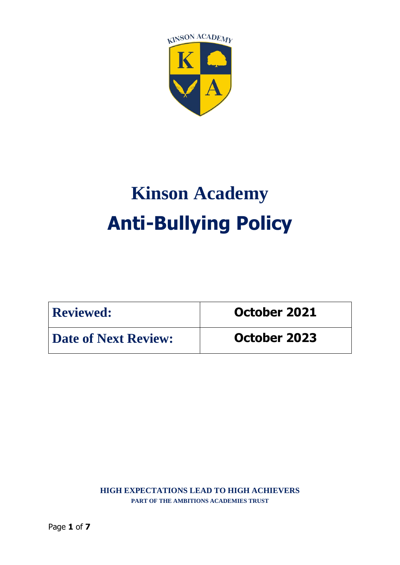

# **Kinson Academy Anti-Bullying Policy**

| <b>Reviewed:</b>            | October 2021 |
|-----------------------------|--------------|
| <b>Date of Next Review:</b> | October 2023 |

**HIGH EXPECTATIONS LEAD TO HIGH ACHIEVERS PART OF THE AMBITIONS ACADEMIES TRUST**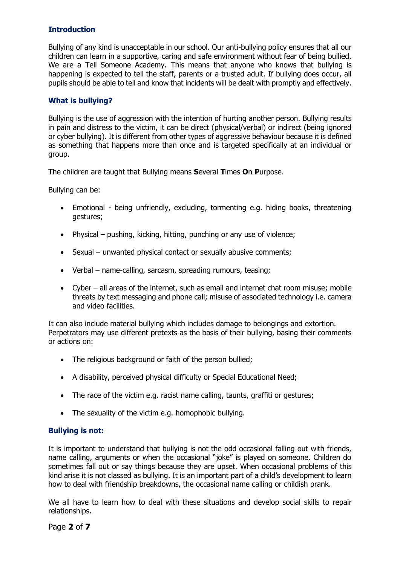# **Introduction**

Bullying of any kind is unacceptable in our school. Our anti-bullying policy ensures that all our children can learn in a supportive, caring and safe environment without fear of being bullied. We are a Tell Someone Academy. This means that anyone who knows that bullying is happening is expected to tell the staff, parents or a trusted adult. If bullying does occur, all pupils should be able to tell and know that incidents will be dealt with promptly and effectively.

## **What is bullying?**

Bullying is the use of aggression with the intention of hurting another person. Bullying results in pain and distress to the victim, it can be direct (physical/verbal) or indirect (being ignored or cyber bullying). It is different from other types of aggressive behaviour because it is defined as something that happens more than once and is targeted specifically at an individual or group.

The children are taught that Bullying means **S**everal **T**imes **O**n **P**urpose.

Bullying can be:

- Emotional being unfriendly, excluding, tormenting e.g. hiding books, threatening gestures;
- Physical pushing, kicking, hitting, punching or any use of violence;
- Sexual unwanted physical contact or sexually abusive comments;
- Verbal name-calling, sarcasm, spreading rumours, teasing;
- Cyber all areas of the internet, such as email and internet chat room misuse; mobile threats by text messaging and phone call; misuse of associated technology i.e. camera and video facilities.

It can also include material bullying which includes damage to belongings and extortion. Perpetrators may use different pretexts as the basis of their bullying, basing their comments or actions on:

- The religious background or faith of the person bullied;
- A disability, perceived physical difficulty or Special Educational Need;
- The race of the victim e.g. racist name calling, taunts, graffiti or gestures;
- The sexuality of the victim e.g. homophobic bullying.

## **Bullying is not:**

It is important to understand that bullying is not the odd occasional falling out with friends, name calling, arguments or when the occasional "joke" is played on someone. Children do sometimes fall out or say things because they are upset. When occasional problems of this kind arise it is not classed as bullying. It is an important part of a child's development to learn how to deal with friendship breakdowns, the occasional name calling or childish prank.

We all have to learn how to deal with these situations and develop social skills to repair relationships.

Page **2** of **7**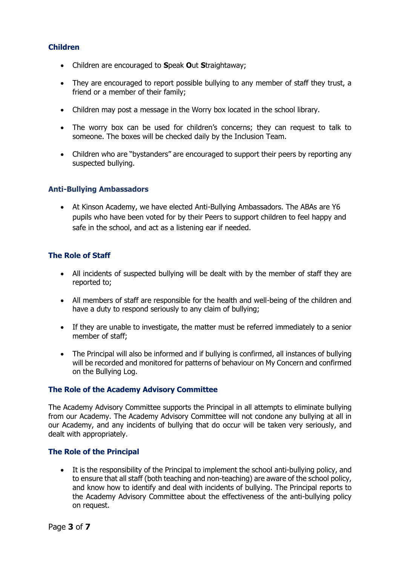## **Children**

- Children are encouraged to **S**peak **O**ut **S**traightaway;
- They are encouraged to report possible bullying to any member of staff they trust, a friend or a member of their family;
- Children may post a message in the Worry box located in the school library.
- The worry box can be used for children's concerns; they can request to talk to someone. The boxes will be checked daily by the Inclusion Team.
- Children who are "bystanders" are encouraged to support their peers by reporting any suspected bullying.

## **Anti-Bullying Ambassadors**

• At Kinson Academy, we have elected Anti-Bullying Ambassadors. The ABAs are Y6 pupils who have been voted for by their Peers to support children to feel happy and safe in the school, and act as a listening ear if needed.

## **The Role of Staff**

- All incidents of suspected bullying will be dealt with by the member of staff they are reported to;
- All members of staff are responsible for the health and well-being of the children and have a duty to respond seriously to any claim of bullying;
- If they are unable to investigate, the matter must be referred immediately to a senior member of staff;
- The Principal will also be informed and if bullying is confirmed, all instances of bullying will be recorded and monitored for patterns of behaviour on My Concern and confirmed on the Bullying Log.

#### **The Role of the Academy Advisory Committee**

The Academy Advisory Committee supports the Principal in all attempts to eliminate bullying from our Academy. The Academy Advisory Committee will not condone any bullying at all in our Academy, and any incidents of bullying that do occur will be taken very seriously, and dealt with appropriately.

#### **The Role of the Principal**

• It is the responsibility of the Principal to implement the school anti-bullying policy, and to ensure that all staff (both teaching and non-teaching) are aware of the school policy, and know how to identify and deal with incidents of bullying. The Principal reports to the Academy Advisory Committee about the effectiveness of the anti-bullying policy on request.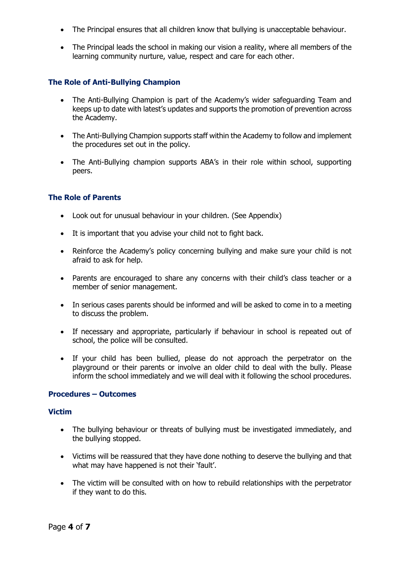- The Principal ensures that all children know that bullying is unacceptable behaviour.
- The Principal leads the school in making our vision a reality, where all members of the learning community nurture, value, respect and care for each other.

## **The Role of Anti-Bullying Champion**

- The Anti-Bullying Champion is part of the Academy's wider safeguarding Team and keeps up to date with latest's updates and supports the promotion of prevention across the Academy.
- The Anti-Bullying Champion supports staff within the Academy to follow and implement the procedures set out in the policy.
- The Anti-Bullying champion supports ABA's in their role within school, supporting peers.

#### **The Role of Parents**

- Look out for unusual behaviour in your children. (See Appendix)
- It is important that you advise your child not to fight back.
- Reinforce the Academy's policy concerning bullying and make sure your child is not afraid to ask for help.
- Parents are encouraged to share any concerns with their child's class teacher or a member of senior management.
- In serious cases parents should be informed and will be asked to come in to a meeting to discuss the problem.
- If necessary and appropriate, particularly if behaviour in school is repeated out of school, the police will be consulted.
- If your child has been bullied, please do not approach the perpetrator on the playground or their parents or involve an older child to deal with the bully. Please inform the school immediately and we will deal with it following the school procedures.

#### **Procedures – Outcomes**

#### **Victim**

- The bullying behaviour or threats of bullying must be investigated immediately, and the bullying stopped.
- Victims will be reassured that they have done nothing to deserve the bullying and that what may have happened is not their 'fault'.
- The victim will be consulted with on how to rebuild relationships with the perpetrator if they want to do this.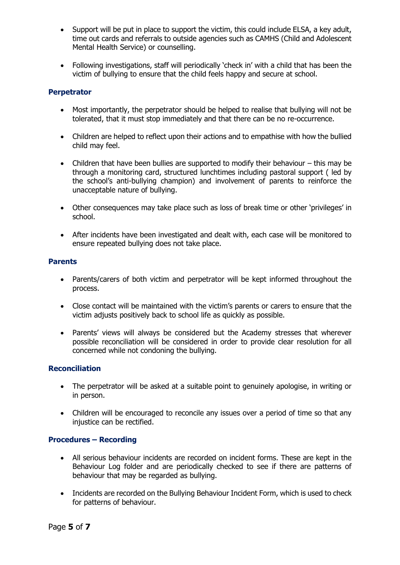- Support will be put in place to support the victim, this could include ELSA, a key adult, time out cards and referrals to outside agencies such as CAMHS (Child and Adolescent Mental Health Service) or counselling.
- Following investigations, staff will periodically 'check in' with a child that has been the victim of bullying to ensure that the child feels happy and secure at school.

## **Perpetrator**

- Most importantly, the perpetrator should be helped to realise that bullying will not be tolerated, that it must stop immediately and that there can be no re-occurrence.
- Children are helped to reflect upon their actions and to empathise with how the bullied child may feel.
- Children that have been bullies are supported to modify their behaviour this may be through a monitoring card, structured lunchtimes including pastoral support ( led by the school's anti-bullying champion) and involvement of parents to reinforce the unacceptable nature of bullying.
- Other consequences may take place such as loss of break time or other 'privileges' in school.
- After incidents have been investigated and dealt with, each case will be monitored to ensure repeated bullying does not take place.

#### **Parents**

- Parents/carers of both victim and perpetrator will be kept informed throughout the process.
- Close contact will be maintained with the victim's parents or carers to ensure that the victim adjusts positively back to school life as quickly as possible.
- Parents' views will always be considered but the Academy stresses that wherever possible reconciliation will be considered in order to provide clear resolution for all concerned while not condoning the bullying.

## **Reconciliation**

- The perpetrator will be asked at a suitable point to genuinely apologise, in writing or in person.
- Children will be encouraged to reconcile any issues over a period of time so that any injustice can be rectified.

#### **Procedures – Recording**

- All serious behaviour incidents are recorded on incident forms. These are kept in the Behaviour Log folder and are periodically checked to see if there are patterns of behaviour that may be regarded as bullying.
- Incidents are recorded on the Bullying Behaviour Incident Form, which is used to check for patterns of behaviour.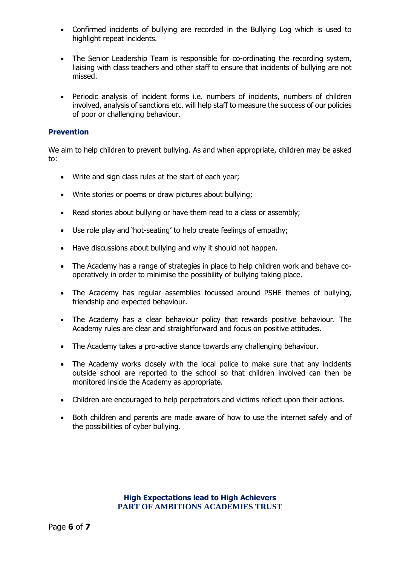- Confirmed incidents of bullying are recorded in the Bullying Log which is used to highlight repeat incidents.
- The Senior Leadership Team is responsible for co-ordinating the recording system, liaising with class teachers and other staff to ensure that incidents of bullying are not missed.
- Periodic analysis of incident forms i.e. numbers of incidents, numbers of children involved, analysis of sanctions etc. will help staff to measure the success of our policies of poor or challenging behaviour.

#### **Prevention**

We aim to help children to prevent bullying. As and when appropriate, children may be asked to:

- Write and sign class rules at the start of each year;
- Write stories or poems or draw pictures about bullying;
- Read stories about bullying or have them read to a class or assembly;
- Use role play and 'hot-seating' to help create feelings of empathy;
- Have discussions about bullying and why it should not happen.
- The Academy has a range of strategies in place to help children work and behave cooperatively in order to minimise the possibility of bullying taking place.
- The Academy has regular assemblies focussed around PSHE themes of bullying, friendship and expected behaviour.
- The Academy has a clear behaviour policy that rewards positive behaviour. The Academy rules are clear and straightforward and focus on positive attitudes.
- The Academy takes a pro-active stance towards any challenging behaviour.
- The Academy works closely with the local police to make sure that any incidents outside school are reported to the school so that children involved can then be monitored inside the Academy as appropriate.
- Children are encouraged to help perpetrators and victims reflect upon their actions.
- Both children and parents are made aware of how to use the internet safely and of the possibilities of cyber bullying.

### **High Expectations lead to High Achievers PART OF AMBITIONS ACADEMIES TRUST**